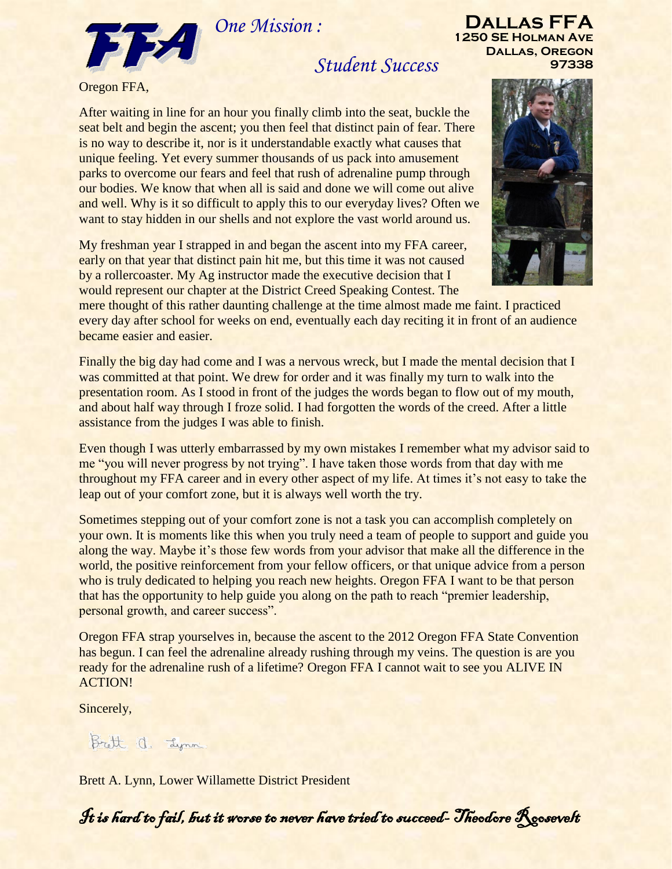*One Mission :*



*Student Success* 

Oregon FFA,

After waiting in line for an hour you finally climb into the seat, buckle the seat belt and begin the ascent; you then feel that distinct pain of fear. There is no way to describe it, nor is it understandable exactly what causes that unique feeling. Yet every summer thousands of us pack into amusement parks to overcome our fears and feel that rush of adrenaline pump through our bodies. We know that when all is said and done we will come out alive and well. Why is it so difficult to apply this to our everyday lives? Often we want to stay hidden in our shells and not explore the vast world around us.

My freshman year I strapped in and began the ascent into my FFA career, early on that year that distinct pain hit me, but this time it was not caused by a rollercoaster. My Ag instructor made the executive decision that I would represent our chapter at the District Creed Speaking Contest. The

mere thought of this rather daunting challenge at the time almost made me faint. I practiced every day after school for weeks on end, eventually each day reciting it in front of an audience became easier and easier.

Finally the big day had come and I was a nervous wreck, but I made the mental decision that I was committed at that point. We drew for order and it was finally my turn to walk into the presentation room. As I stood in front of the judges the words began to flow out of my mouth, and about half way through I froze solid. I had forgotten the words of the creed. After a little assistance from the judges I was able to finish.

Even though I was utterly embarrassed by my own mistakes I remember what my advisor said to me "you will never progress by not trying". I have taken those words from that day with me throughout my FFA career and in every other aspect of my life. At times it's not easy to take the leap out of your comfort zone, but it is always well worth the try.

Sometimes stepping out of your comfort zone is not a task you can accomplish completely on your own. It is moments like this when you truly need a team of people to support and guide you along the way. Maybe it's those few words from your advisor that make all the difference in the world, the positive reinforcement from your fellow officers, or that unique advice from a person who is truly dedicated to helping you reach new heights. Oregon FFA I want to be that person that has the opportunity to help guide you along on the path to reach "premier leadership, personal growth, and career success".

Oregon FFA strap yourselves in, because the ascent to the 2012 Oregon FFA State Convention has begun. I can feel the adrenaline already rushing through my veins. The question is are you ready for the adrenaline rush of a lifetime? Oregon FFA I cannot wait to see you ALIVE IN ACTION!

Sincerely,

Brott a. Lynn

Brett A. Lynn, Lower Willamette District President

It is hard to fail, but it worse to never have tried to succeed- Theodore Roosevelt



**Dallas FFA 1250 SE Holman Ave Dallas, Oregon**